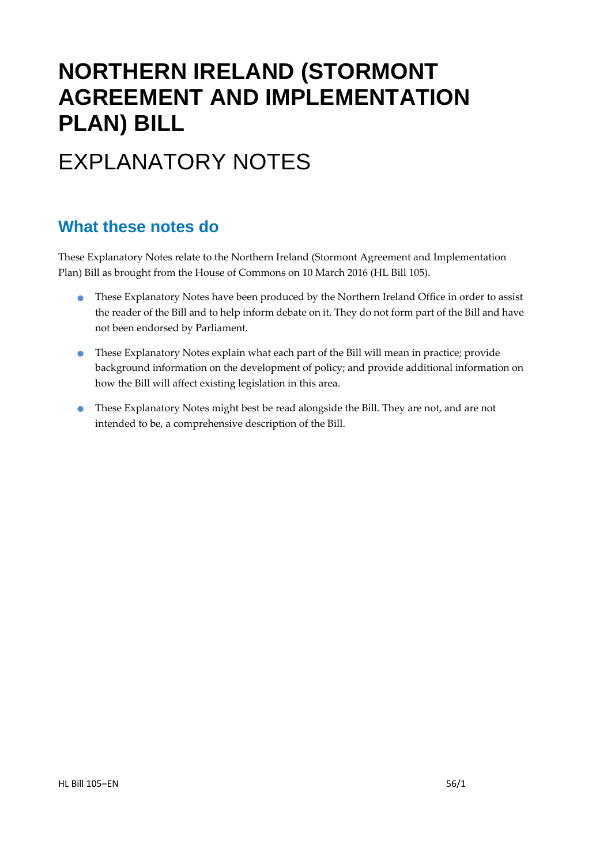# **NORTHERN IRELAND (STORMONT AGREEMENT AND IMPLEMENTATION PLAN) BILL**

# EXPLANATORY NOTES

### **What these notes do**

- **•** These Explanatory Notes have been produced by the Northern Ireland Office in order to assist the reader of the Bill and to help inform debate on it. They do not form part of the Bill and have not been endorsed by Parliament.
- These Explanatory Notes explain what each part of the Bill will mean in practice; provide background information on the development of policy; and provide additional information on how the Bill will affect existing legislation in this area.
- **•** These Explanatory Notes might best be read alongside the Bill. They are not, and are not intended to be, a comprehensive description of the Bill.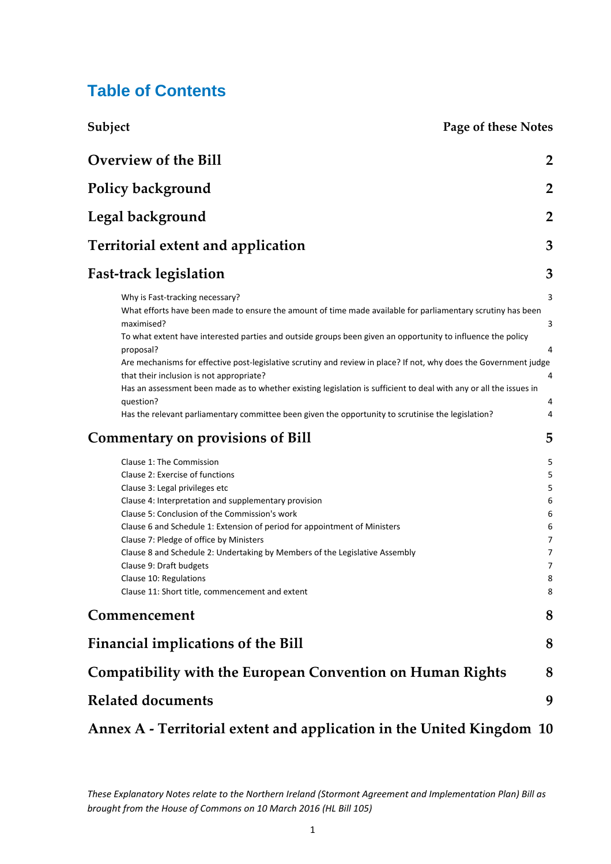### **Table of Contents**

| Subject | Page of these Notes |
|---------|---------------------|
|---------|---------------------|

| <b>Overview of the Bill</b>                                                                                                                                                                                                                                                                                                                                                                                                                                                                                                                                                                                                                                                                        | $\overline{2}$                                                                |
|----------------------------------------------------------------------------------------------------------------------------------------------------------------------------------------------------------------------------------------------------------------------------------------------------------------------------------------------------------------------------------------------------------------------------------------------------------------------------------------------------------------------------------------------------------------------------------------------------------------------------------------------------------------------------------------------------|-------------------------------------------------------------------------------|
| Policy background                                                                                                                                                                                                                                                                                                                                                                                                                                                                                                                                                                                                                                                                                  | $\overline{2}$                                                                |
| Legal background                                                                                                                                                                                                                                                                                                                                                                                                                                                                                                                                                                                                                                                                                   | $\overline{2}$                                                                |
| <b>Territorial extent and application</b>                                                                                                                                                                                                                                                                                                                                                                                                                                                                                                                                                                                                                                                          | 3                                                                             |
| <b>Fast-track legislation</b>                                                                                                                                                                                                                                                                                                                                                                                                                                                                                                                                                                                                                                                                      | 3                                                                             |
| Why is Fast-tracking necessary?<br>What efforts have been made to ensure the amount of time made available for parliamentary scrutiny has been<br>maximised?<br>To what extent have interested parties and outside groups been given an opportunity to influence the policy<br>proposal?<br>Are mechanisms for effective post-legislative scrutiny and review in place? If not, why does the Government judge<br>that their inclusion is not appropriate?<br>Has an assessment been made as to whether existing legislation is sufficient to deal with any or all the issues in<br>question?<br>Has the relevant parliamentary committee been given the opportunity to scrutinise the legislation? | 3<br>3<br>4<br>4<br>4<br>4                                                    |
| <b>Commentary on provisions of Bill</b>                                                                                                                                                                                                                                                                                                                                                                                                                                                                                                                                                                                                                                                            | 5                                                                             |
| Clause 1: The Commission<br>Clause 2: Exercise of functions<br>Clause 3: Legal privileges etc<br>Clause 4: Interpretation and supplementary provision<br>Clause 5: Conclusion of the Commission's work<br>Clause 6 and Schedule 1: Extension of period for appointment of Ministers<br>Clause 7: Pledge of office by Ministers<br>Clause 8 and Schedule 2: Undertaking by Members of the Legislative Assembly<br>Clause 9: Draft budgets<br>Clause 10: Regulations<br>Clause 11: Short title, commencement and extent                                                                                                                                                                              | 5<br>5<br>5<br>6<br>6<br>6<br>7<br>$\overline{7}$<br>$\overline{7}$<br>8<br>8 |
| Commencement                                                                                                                                                                                                                                                                                                                                                                                                                                                                                                                                                                                                                                                                                       | 8                                                                             |
| <b>Financial implications of the Bill</b>                                                                                                                                                                                                                                                                                                                                                                                                                                                                                                                                                                                                                                                          | 8                                                                             |
| <b>Compatibility with the European Convention on Human Rights</b>                                                                                                                                                                                                                                                                                                                                                                                                                                                                                                                                                                                                                                  | 8                                                                             |
| <b>Related documents</b>                                                                                                                                                                                                                                                                                                                                                                                                                                                                                                                                                                                                                                                                           | 9                                                                             |
| Annex A - Territorial extent and application in the United Kingdom 10                                                                                                                                                                                                                                                                                                                                                                                                                                                                                                                                                                                                                              |                                                                               |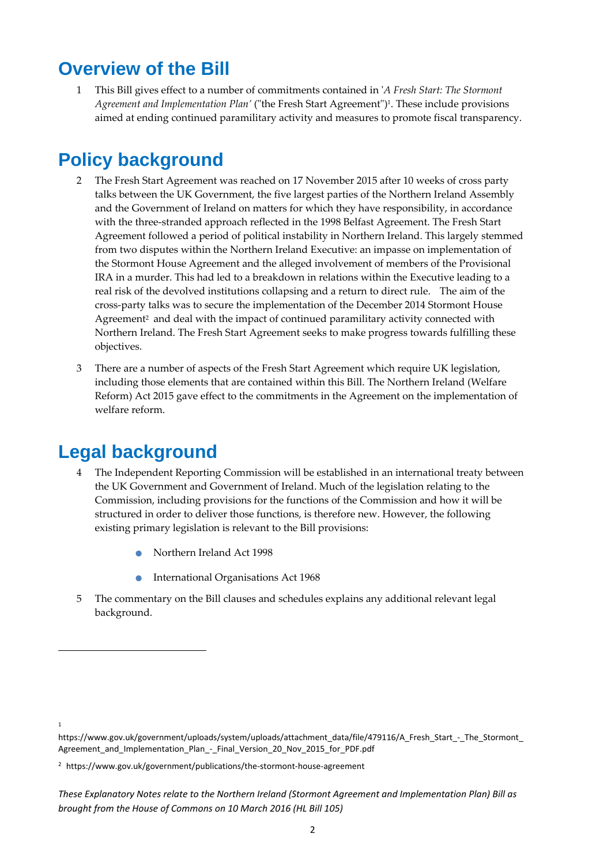### **Overview of the Bill**

1 This Bill gives effect to a number of commitments contained in ʹ*A Fresh Start: The Stormont Agreement and <i>Implementation Plan'* ("the Fresh Start Agreement")<sup>1</sup>. These include provisions aimed at ending continued paramilitary activity and measures to promote fiscal transparency.

## **Policy background**

- 2 The Fresh Start Agreement was reached on 17 November 2015 after 10 weeks of cross party talks between the UK Government, the five largest parties of the Northern Ireland Assembly and the Government of Ireland on matters for which they have responsibility, in accordance with the three-stranded approach reflected in the 1998 Belfast Agreement. The Fresh Start Agreement followed a period of political instability in Northern Ireland. This largely stemmed from two disputes within the Northern Ireland Executive: an impasse on implementation of the Stormont House Agreement and the alleged involvement of members of the Provisional IRA in a murder. This had led to a breakdown in relations within the Executive leading to a real risk of the devolved institutions collapsing and a return to direct rule. The aim of the cross‐party talks was to secure the implementation of the December 2014 Stormont House Agreement<sup>2</sup> and deal with the impact of continued paramilitary activity connected with Northern Ireland. The Fresh Start Agreement seeks to make progress towards fulfilling these objectives.
- 3 There are a number of aspects of the Fresh Start Agreement which require UK legislation, including those elements that are contained within this Bill. The Northern Ireland (Welfare Reform) Act 2015 gave effect to the commitments in the Agreement on the implementation of welfare reform.

### **Legal background**

- 4 The Independent Reporting Commission will be established in an international treaty between the UK Government and Government of Ireland. Much of the legislation relating to the Commission, including provisions for the functions of the Commission and how it will be structured in order to deliver those functions, is therefore new. However, the following existing primary legislation is relevant to the Bill provisions:
	- Northern Ireland Act <sup>1998</sup>
	- International Organisations Act <sup>1968</sup>
- 5 The commentary on the Bill clauses and schedules explains any additional relevant legal background.

<sup>1</sup>

https://www.gov.uk/government/uploads/system/uploads/attachment\_data/file/479116/A\_Fresh\_Start\_-\_The\_Stormont Agreement and Implementation Plan - Final Version 20 Nov 2015 for PDF.pdf

<sup>&</sup>lt;sup>2</sup> https://www.gov.uk/government/publications/the-stormont-house-agreement

*These Explanatory Notes relate to the Northern Ireland (Stormont Agreement and Implementation Plan) Bill as brought from the House of Commons on 10 March 2016 (HL Bill 105)*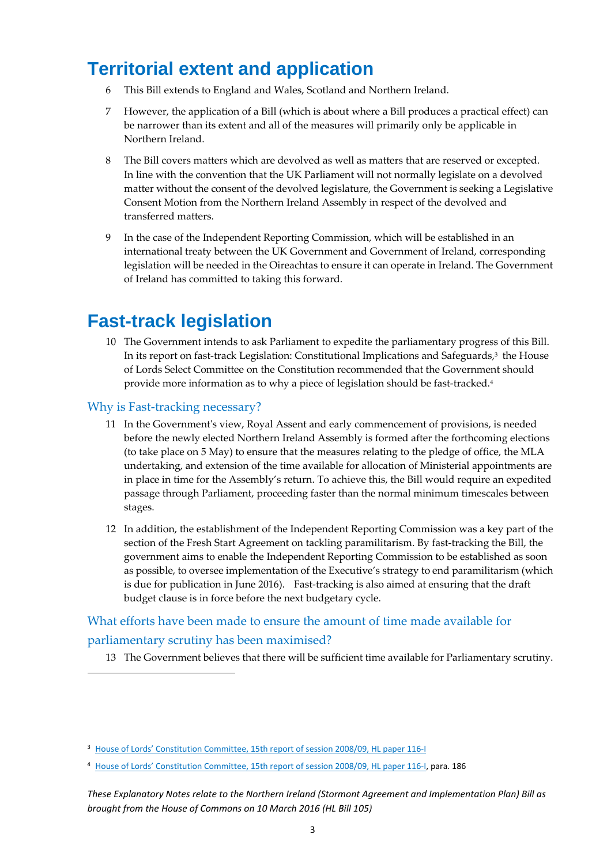## **Territorial extent and application**

- 6 This Bill extends to England and Wales, Scotland and Northern Ireland.
- 7 However, the application of a Bill (which is about where a Bill produces a practical effect) can be narrower than its extent and all of the measures will primarily only be applicable in Northern Ireland.
- 8 The Bill covers matters which are devolved as well as matters that are reserved or excepted. In line with the convention that the UK Parliament will not normally legislate on a devolved matter without the consent of the devolved legislature, the Government is seeking a Legislative Consent Motion from the Northern Ireland Assembly in respect of the devolved and transferred matters.
- 9 In the case of the Independent Reporting Commission, which will be established in an international treaty between the UK Government and Government of Ireland, corresponding legislation will be needed in the Oireachtas to ensure it can operate in Ireland. The Government of Ireland has committed to taking this forward.

## **Fast-track legislation**

10 The Government intends to ask Parliament to expedite the parliamentary progress of this Bill. In its report on fast-track Legislation: Constitutional Implications and Safeguards,<sup>3</sup> the House of Lords Select Committee on the Constitution recommended that the Government should provide more information as to why a piece of legislation should be fast-tracked.<sup>4</sup>

#### Why is Fast-tracking necessary?

- 11 In the Governmentʹs view, Royal Assent and early commencement of provisions, is needed before the newly elected Northern Ireland Assembly is formed after the forthcoming elections (to take place on 5 May) to ensure that the measures relating to the pledge of office, the MLA undertaking, and extension of the time available for allocation of Ministerial appointments are in place in time for the Assembly's return. To achieve this, the Bill would require an expedited passage through Parliament, proceeding faster than the normal minimum timescales between stages.
- 12 In addition, the establishment of the Independent Reporting Commission was a key part of the section of the Fresh Start Agreement on tackling paramilitarism. By fast-tracking the Bill, the government aims to enable the Independent Reporting Commission to be established as soon as possible, to oversee implementation of the Executive's strategy to end paramilitarism (which is due for publication in June 2016). Fast-tracking is also aimed at ensuring that the draft budget clause is in force before the next budgetary cycle.

#### What efforts have been made to ensure the amount of time made available for

#### parliamentary scrutiny has been maximised?

13 The Government believes that there will be sufficient time available for Parliamentary scrutiny.

<sup>&</sup>lt;sup>3</sup> House of Lords' Constitution Committee, 15th report of session 2008/09, HL paper 116-I

<sup>4</sup> House of Lords' Constitution Committee, 15th report of session 2008/09, HL paper 116-I, para. 186

*These Explanatory Notes relate to the Northern Ireland (Stormont Agreement and Implementation Plan) Bill as brought from the House of Commons on 10 March 2016 (HL Bill 105)*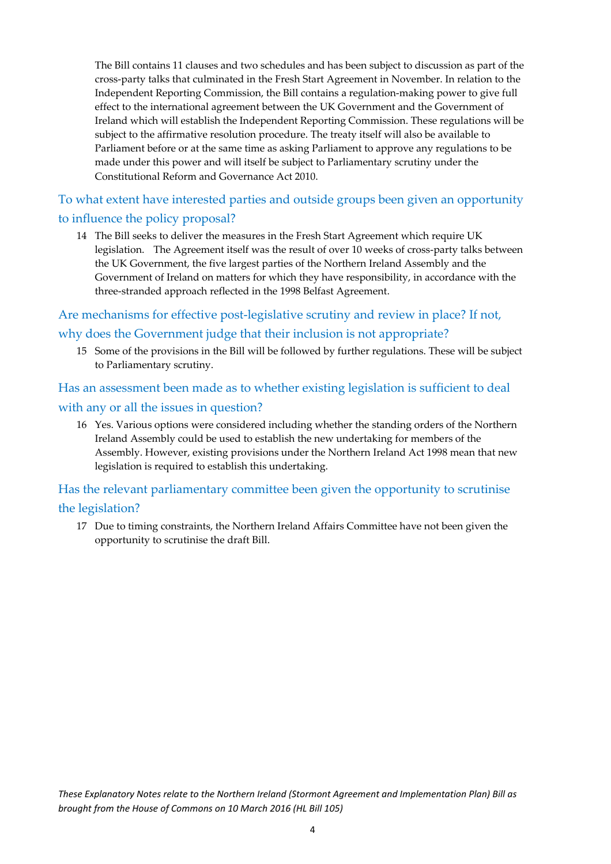The Bill contains 11 clauses and two schedules and has been subject to discussion as part of the cross‐party talks that culminated in the Fresh Start Agreement in November. In relation to the Independent Reporting Commission, the Bill contains a regulation‐making power to give full effect to the international agreement between the UK Government and the Government of Ireland which will establish the Independent Reporting Commission. These regulations will be subject to the affirmative resolution procedure. The treaty itself will also be available to Parliament before or at the same time as asking Parliament to approve any regulations to be made under this power and will itself be subject to Parliamentary scrutiny under the Constitutional Reform and Governance Act 2010.

To what extent have interested parties and outside groups been given an opportunity to influence the policy proposal?

14 The Bill seeks to deliver the measures in the Fresh Start Agreement which require UK legislation. The Agreement itself was the result of over 10 weeks of cross-party talks between the UK Government, the five largest parties of the Northern Ireland Assembly and the Government of Ireland on matters for which they have responsibility, in accordance with the three‐stranded approach reflected in the 1998 Belfast Agreement.

Are mechanisms for effective post-legislative scrutiny and review in place? If not, why does the Government judge that their inclusion is not appropriate?

15 Some of the provisions in the Bill will be followed by further regulations. These will be subject to Parliamentary scrutiny.

Has an assessment been made as to whether existing legislation is sufficient to deal with any or all the issues in question?

16 Yes. Various options were considered including whether the standing orders of the Northern Ireland Assembly could be used to establish the new undertaking for members of the Assembly. However, existing provisions under the Northern Ireland Act 1998 mean that new legislation is required to establish this undertaking.

Has the relevant parliamentary committee been given the opportunity to scrutinise the legislation?

17 Due to timing constraints, the Northern Ireland Affairs Committee have not been given the opportunity to scrutinise the draft Bill.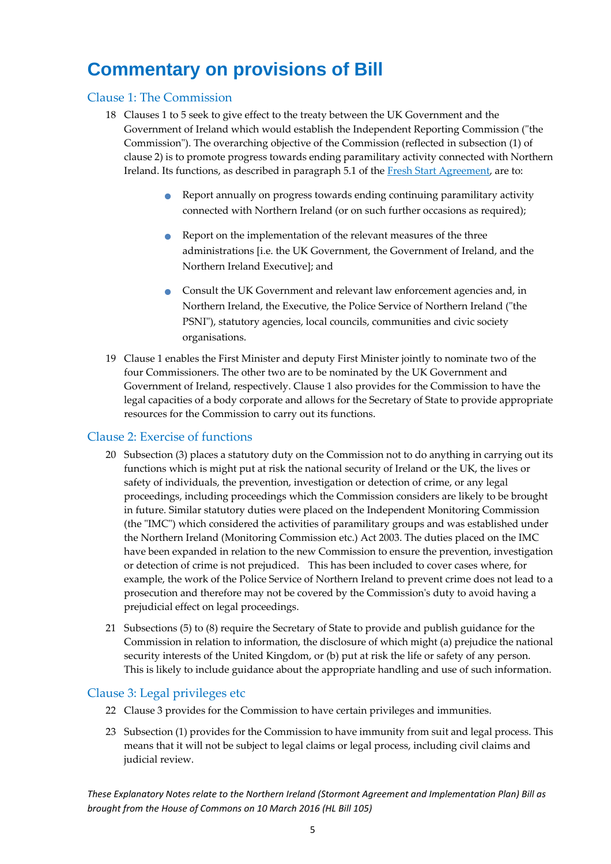## **Commentary on provisions of Bill**

#### Clause 1: The Commission

- 18 Clauses 1 to 5 seek to give effect to the treaty between the UK Government and the Government of Ireland which would establish the Independent Reporting Commission ("the Commission"). The overarching objective of the Commission (reflected in subsection (1) of clause 2) is to promote progress towards ending paramilitary activity connected with Northern Ireland. Its functions, as described in paragraph 5.1 of the Fresh Start Agreement, are to:
	- Report annually on progress towards ending continuing paramilitary activity connected with Northern Ireland (or on such further occasions as required);
	- Report on the implementation of the relevant measures of the three administrations [i.e. the UK Government, the Government of Ireland, and the Northern Ireland Executive]; and
	- Consult the UK Government and relevant law enforcement agencies and, in Northern Ireland, the Executive, the Police Service of Northern Ireland ("the PSNI"), statutory agencies, local councils, communities and civic society organisations.
- 19 Clause 1 enables the First Minister and deputy First Minister jointly to nominate two of the four Commissioners. The other two are to be nominated by the UK Government and Government of Ireland, respectively. Clause 1 also provides for the Commission to have the legal capacities of a body corporate and allows for the Secretary of State to provide appropriate resources for the Commission to carry out its functions.

#### Clause 2: Exercise of functions

- 20 Subsection (3) places a statutory duty on the Commission not to do anything in carrying out its functions which is might put at risk the national security of Ireland or the UK, the lives or safety of individuals, the prevention, investigation or detection of crime, or any legal proceedings, including proceedings which the Commission considers are likely to be brought in future. Similar statutory duties were placed on the Independent Monitoring Commission (the "IMC") which considered the activities of paramilitary groups and was established under the Northern Ireland (Monitoring Commission etc.) Act 2003. The duties placed on the IMC have been expanded in relation to the new Commission to ensure the prevention, investigation or detection of crime is not prejudiced. This has been included to cover cases where, for example, the work of the Police Service of Northern Ireland to prevent crime does not lead to a prosecution and therefore may not be covered by the Commissionʹs duty to avoid having a prejudicial effect on legal proceedings.
- 21 Subsections (5) to (8) require the Secretary of State to provide and publish guidance for the Commission in relation to information, the disclosure of which might (a) prejudice the national security interests of the United Kingdom, or (b) put at risk the life or safety of any person. This is likely to include guidance about the appropriate handling and use of such information.

#### Clause 3: Legal privileges etc

- 22 Clause 3 provides for the Commission to have certain privileges and immunities.
- 23 Subsection (1) provides for the Commission to have immunity from suit and legal process. This means that it will not be subject to legal claims or legal process, including civil claims and judicial review.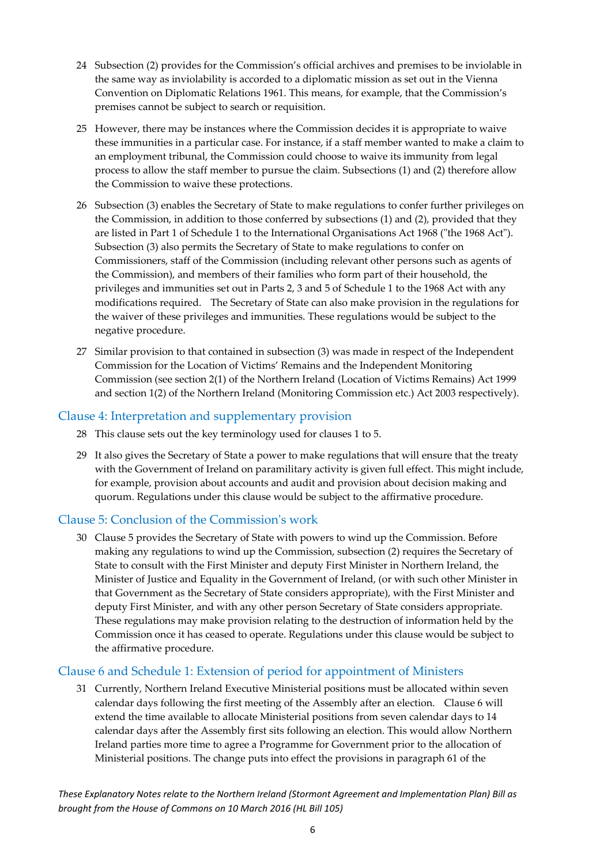- 24 Subsection (2) provides for the Commission's official archives and premises to be inviolable in the same way as inviolability is accorded to a diplomatic mission as set out in the Vienna Convention on Diplomatic Relations 1961. This means, for example, that the Commission's premises cannot be subject to search or requisition.
- 25 However, there may be instances where the Commission decides it is appropriate to waive these immunities in a particular case. For instance, if a staff member wanted to make a claim to an employment tribunal, the Commission could choose to waive its immunity from legal process to allow the staff member to pursue the claim. Subsections (1) and (2) therefore allow the Commission to waive these protections.
- 26 Subsection (3) enables the Secretary of State to make regulations to confer further privileges on the Commission, in addition to those conferred by subsections (1) and (2), provided that they are listed in Part 1 of Schedule 1 to the International Organisations Act 1968 ("the 1968 Act"). Subsection (3) also permits the Secretary of State to make regulations to confer on Commissioners, staff of the Commission (including relevant other persons such as agents of the Commission), and members of their families who form part of their household, the privileges and immunities set out in Parts 2, 3 and 5 of Schedule 1 to the 1968 Act with any modifications required. The Secretary of State can also make provision in the regulations for the waiver of these privileges and immunities. These regulations would be subject to the negative procedure.
- 27 Similar provision to that contained in subsection (3) was made in respect of the Independent Commission for the Location of Victims' Remains and the Independent Monitoring Commission (see section 2(1) of the Northern Ireland (Location of Victims Remains) Act 1999 and section 1(2) of the Northern Ireland (Monitoring Commission etc.) Act 2003 respectively).

#### Clause 4: Interpretation and supplementary provision

- 28 This clause sets out the key terminology used for clauses 1 to 5.
- 29 It also gives the Secretary of State a power to make regulations that will ensure that the treaty with the Government of Ireland on paramilitary activity is given full effect. This might include, for example, provision about accounts and audit and provision about decision making and quorum. Regulations under this clause would be subject to the affirmative procedure.

#### Clause 5: Conclusion of the Commissionʹs work

30 Clause 5 provides the Secretary of State with powers to wind up the Commission. Before making any regulations to wind up the Commission, subsection (2) requires the Secretary of State to consult with the First Minister and deputy First Minister in Northern Ireland, the Minister of Justice and Equality in the Government of Ireland, (or with such other Minister in that Government as the Secretary of State considers appropriate), with the First Minister and deputy First Minister, and with any other person Secretary of State considers appropriate. These regulations may make provision relating to the destruction of information held by the Commission once it has ceased to operate. Regulations under this clause would be subject to the affirmative procedure.

#### Clause 6 and Schedule 1: Extension of period for appointment of Ministers

31 Currently, Northern Ireland Executive Ministerial positions must be allocated within seven calendar days following the first meeting of the Assembly after an election. Clause 6 will extend the time available to allocate Ministerial positions from seven calendar days to 14 calendar days after the Assembly first sits following an election. This would allow Northern Ireland parties more time to agree a Programme for Government prior to the allocation of Ministerial positions. The change puts into effect the provisions in paragraph 61 of the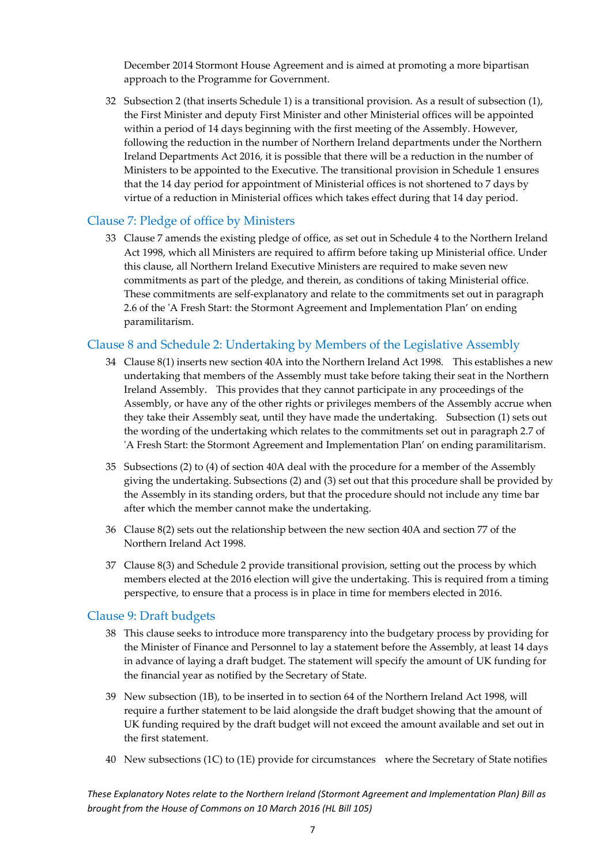December 2014 Stormont House Agreement and is aimed at promoting a more bipartisan approach to the Programme for Government.

32 Subsection 2 (that inserts Schedule 1) is a transitional provision. As a result of subsection (1), the First Minister and deputy First Minister and other Ministerial offices will be appointed within a period of 14 days beginning with the first meeting of the Assembly. However, following the reduction in the number of Northern Ireland departments under the Northern Ireland Departments Act 2016, it is possible that there will be a reduction in the number of Ministers to be appointed to the Executive. The transitional provision in Schedule 1 ensures that the 14 day period for appointment of Ministerial offices is not shortened to 7 days by virtue of a reduction in Ministerial offices which takes effect during that 14 day period.

#### Clause 7: Pledge of office by Ministers

33 Clause 7 amends the existing pledge of office, as set out in Schedule 4 to the Northern Ireland Act 1998, which all Ministers are required to affirm before taking up Ministerial office. Under this clause, all Northern Ireland Executive Ministers are required to make seven new commitments as part of the pledge, and therein, as conditions of taking Ministerial office. These commitments are self-explanatory and relate to the commitments set out in paragraph 2.6 of the ʹA Fresh Start: the Stormont Agreement and Implementation Plan' on ending paramilitarism.

#### Clause 8 and Schedule 2: Undertaking by Members of the Legislative Assembly

- 34 Clause 8(1) inserts new section 40A into the Northern Ireland Act 1998. This establishes a new undertaking that members of the Assembly must take before taking their seat in the Northern Ireland Assembly. This provides that they cannot participate in any proceedings of the Assembly, or have any of the other rights or privileges members of the Assembly accrue when they take their Assembly seat, until they have made the undertaking. Subsection (1) sets out the wording of the undertaking which relates to the commitments set out in paragraph 2.7 of ʹA Fresh Start: the Stormont Agreement and Implementation Plan' on ending paramilitarism.
- 35 Subsections (2) to (4) of section 40A deal with the procedure for a member of the Assembly giving the undertaking. Subsections (2) and (3) set out that this procedure shall be provided by the Assembly in its standing orders, but that the procedure should not include any time bar after which the member cannot make the undertaking.
- 36 Clause 8(2) sets out the relationship between the new section 40A and section 77 of the Northern Ireland Act 1998.
- 37 Clause 8(3) and Schedule 2 provide transitional provision, setting out the process by which members elected at the 2016 election will give the undertaking. This is required from a timing perspective, to ensure that a process is in place in time for members elected in 2016.

#### Clause 9: Draft budgets

- 38 This clause seeks to introduce more transparency into the budgetary process by providing for the Minister of Finance and Personnel to lay a statement before the Assembly, at least 14 days in advance of laying a draft budget. The statement will specify the amount of UK funding for the financial year as notified by the Secretary of State.
- 39 New subsection (1B), to be inserted in to section 64 of the Northern Ireland Act 1998, will require a further statement to be laid alongside the draft budget showing that the amount of UK funding required by the draft budget will not exceed the amount available and set out in the first statement.
- 40 New subsections (1C) to (1E) provide for circumstances where the Secretary of State notifies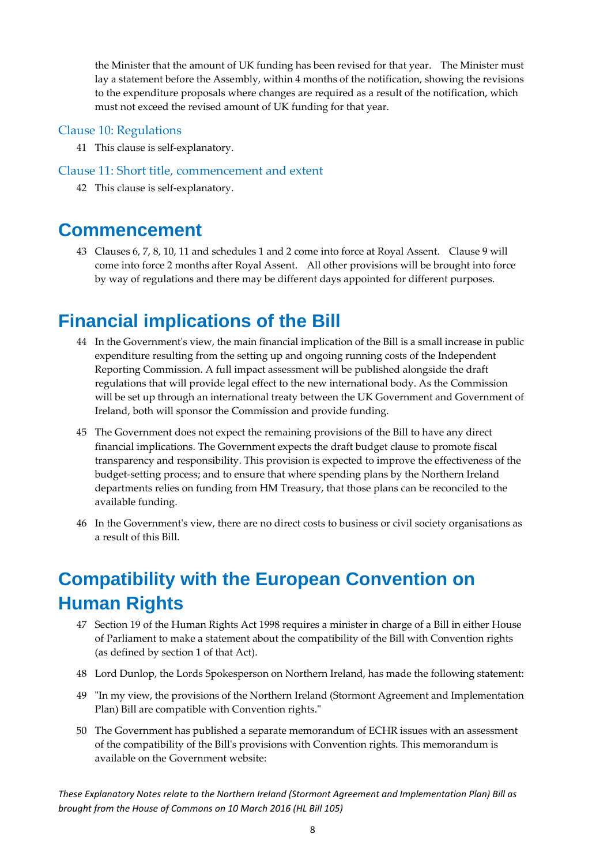the Minister that the amount of UK funding has been revised for that year. The Minister must lay a statement before the Assembly, within 4 months of the notification, showing the revisions to the expenditure proposals where changes are required as a result of the notification, which must not exceed the revised amount of UK funding for that year.

#### Clause 10: Regulations

41 This clause is self‐explanatory.

#### Clause 11: Short title, commencement and extent

42 This clause is self‐explanatory.

### **Commencement**

43 Clauses 6, 7, 8, 10, 11 and schedules 1 and 2 come into force at Royal Assent. Clause 9 will come into force 2 months after Royal Assent. All other provisions will be brought into force by way of regulations and there may be different days appointed for different purposes.

## **Financial implications of the Bill**

- 44 In the Governmentʹs view, the main financial implication of the Bill is a small increase in public expenditure resulting from the setting up and ongoing running costs of the Independent Reporting Commission. A full impact assessment will be published alongside the draft regulations that will provide legal effect to the new international body. As the Commission will be set up through an international treaty between the UK Government and Government of Ireland, both will sponsor the Commission and provide funding.
- 45 The Government does not expect the remaining provisions of the Bill to have any direct financial implications. The Government expects the draft budget clause to promote fiscal transparency and responsibility. This provision is expected to improve the effectiveness of the budget‐setting process; and to ensure that where spending plans by the Northern Ireland departments relies on funding from HM Treasury, that those plans can be reconciled to the available funding.
- 46 In the Governmentʹs view, there are no direct costs to business or civil society organisations as a result of this Bill.

## **Compatibility with the European Convention on Human Rights**

- 47 Section 19 of the Human Rights Act 1998 requires a minister in charge of a Bill in either House of Parliament to make a statement about the compatibility of the Bill with Convention rights (as defined by section 1 of that Act).
- 48 Lord Dunlop, the Lords Spokesperson on Northern Ireland, has made the following statement:
- 49 ʺIn my view, the provisions of the Northern Ireland (Stormont Agreement and Implementation Plan) Bill are compatible with Convention rights."
- 50 The Government has published a separate memorandum of ECHR issues with an assessment of the compatibility of the Billʹs provisions with Convention rights. This memorandum is available on the Government website: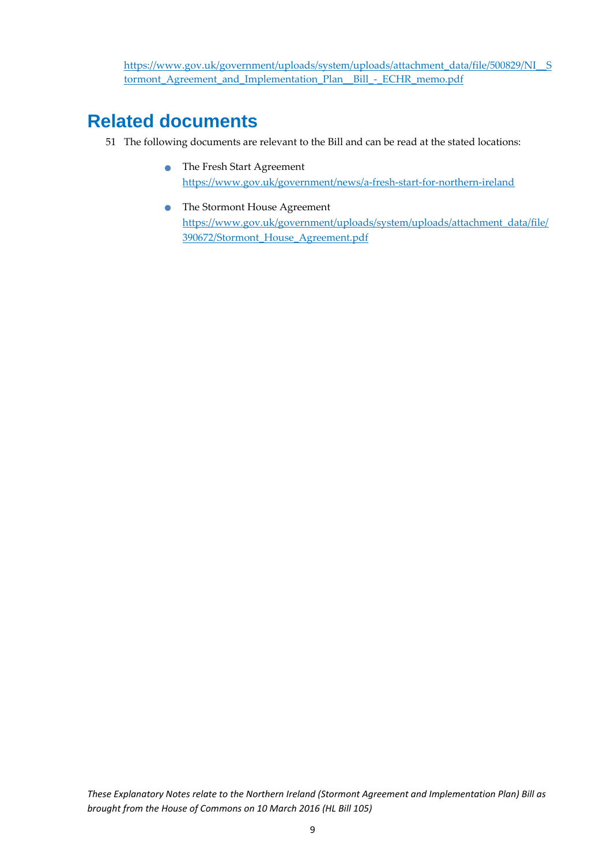https://www.gov.uk/government/uploads/system/uploads/attachment\_data/file/500829/NI\_\_S tormont Agreement and Implementation Plan\_Bill - ECHR\_memo.pdf

### **Related documents**

- 51 The following documents are relevant to the Bill and can be read at the stated locations:
	- The Fresh Start Agreement https://www.gov.uk/government/news/a‐fresh‐start‐for‐northern‐ireland
	- **•** The Stormont House Agreement https://www.gov.uk/government/uploads/system/uploads/attachment\_data/file/ 390672/Stormont\_House\_Agreement.pdf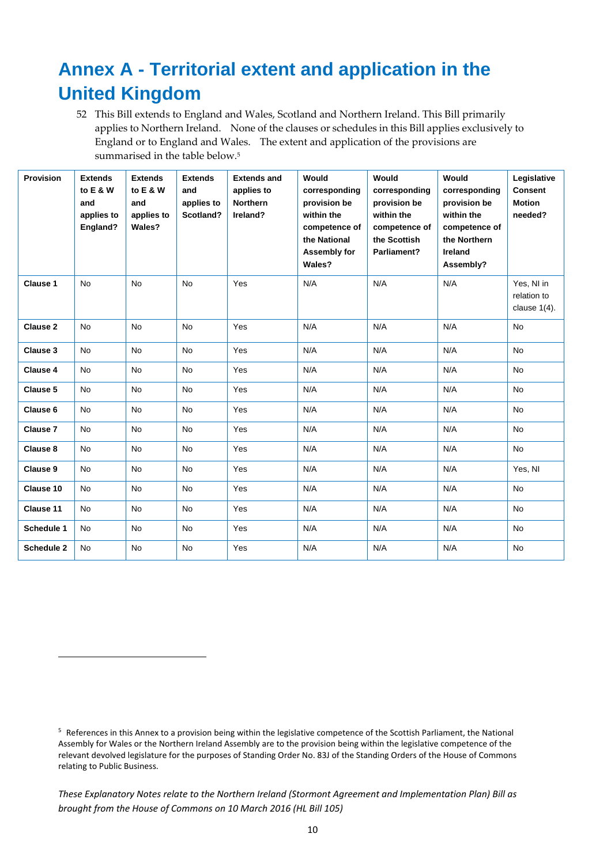## **Annex A - Territorial extent and application in the United Kingdom**

52 This Bill extends to England and Wales, Scotland and Northern Ireland. This Bill primarily applies to Northern Ireland. None of the clauses or schedules in this Bill applies exclusively to England or to England and Wales. The extent and application of the provisions are summarised in the table below.<sup>5</sup>

| <b>Provision</b> | <b>Extends</b><br>to E & W<br>and<br>applies to<br>England? | <b>Extends</b><br>to E & W<br>and<br>applies to<br>Wales? | <b>Extends</b><br>and<br>applies to<br>Scotland? | <b>Extends and</b><br>applies to<br><b>Northern</b><br>Ireland? | Would<br>corresponding<br>provision be<br>within the<br>competence of<br>the National<br>Assembly for<br>Wales? | Would<br>corresponding<br>provision be<br>within the<br>competence of<br>the Scottish<br>Parliament? | Would<br>corresponding<br>provision be<br>within the<br>competence of<br>the Northern<br>Ireland<br>Assembly? | Legislative<br><b>Consent</b><br><b>Motion</b><br>needed? |
|------------------|-------------------------------------------------------------|-----------------------------------------------------------|--------------------------------------------------|-----------------------------------------------------------------|-----------------------------------------------------------------------------------------------------------------|------------------------------------------------------------------------------------------------------|---------------------------------------------------------------------------------------------------------------|-----------------------------------------------------------|
| Clause 1         | <b>No</b>                                                   | <b>No</b>                                                 | <b>No</b>                                        | Yes                                                             | N/A                                                                                                             | N/A                                                                                                  | N/A                                                                                                           | Yes, NI in<br>relation to<br>clause $1(4)$ .              |
| <b>Clause 2</b>  | <b>No</b>                                                   | <b>No</b>                                                 | No                                               | Yes                                                             | N/A                                                                                                             | N/A                                                                                                  | N/A                                                                                                           | <b>No</b>                                                 |
| Clause 3         | <b>No</b>                                                   | <b>No</b>                                                 | <b>No</b>                                        | Yes                                                             | N/A                                                                                                             | N/A                                                                                                  | N/A                                                                                                           | <b>No</b>                                                 |
| <b>Clause 4</b>  | <b>No</b>                                                   | <b>No</b>                                                 | <b>No</b>                                        | Yes                                                             | N/A                                                                                                             | N/A                                                                                                  | N/A                                                                                                           | <b>No</b>                                                 |
| Clause 5         | <b>No</b>                                                   | <b>No</b>                                                 | <b>No</b>                                        | Yes                                                             | N/A                                                                                                             | N/A                                                                                                  | N/A                                                                                                           | <b>No</b>                                                 |
| Clause 6         | <b>No</b>                                                   | <b>No</b>                                                 | <b>No</b>                                        | Yes                                                             | N/A                                                                                                             | N/A                                                                                                  | N/A                                                                                                           | <b>No</b>                                                 |
| <b>Clause 7</b>  | <b>No</b>                                                   | <b>No</b>                                                 | <b>No</b>                                        | Yes                                                             | N/A                                                                                                             | N/A                                                                                                  | N/A                                                                                                           | <b>No</b>                                                 |
| Clause 8         | <b>No</b>                                                   | <b>No</b>                                                 | <b>No</b>                                        | Yes                                                             | N/A                                                                                                             | N/A                                                                                                  | N/A                                                                                                           | <b>No</b>                                                 |
| Clause 9         | <b>No</b>                                                   | <b>No</b>                                                 | <b>No</b>                                        | Yes                                                             | N/A                                                                                                             | N/A                                                                                                  | N/A                                                                                                           | Yes, NI                                                   |
| Clause 10        | <b>No</b>                                                   | <b>No</b>                                                 | <b>No</b>                                        | Yes                                                             | N/A                                                                                                             | N/A                                                                                                  | N/A                                                                                                           | <b>No</b>                                                 |
| Clause 11        | <b>No</b>                                                   | <b>No</b>                                                 | <b>No</b>                                        | Yes                                                             | N/A                                                                                                             | N/A                                                                                                  | N/A                                                                                                           | <b>No</b>                                                 |
| Schedule 1       | <b>No</b>                                                   | <b>No</b>                                                 | <b>No</b>                                        | Yes                                                             | N/A                                                                                                             | N/A                                                                                                  | N/A                                                                                                           | <b>No</b>                                                 |
| Schedule 2       | <b>No</b>                                                   | <b>No</b>                                                 | <b>No</b>                                        | Yes                                                             | N/A                                                                                                             | N/A                                                                                                  | N/A                                                                                                           | <b>No</b>                                                 |

<sup>5</sup> References in this Annex to a provision being within the legislative competence of the Scottish Parliament, the National Assembly for Wales or the Northern Ireland Assembly are to the provision being within the legislative competence of the relevant devolved legislature for the purposes of Standing Order No. 83J of the Standing Orders of the House of Commons relating to Public Business.

*These Explanatory Notes relate to the Northern Ireland (Stormont Agreement and Implementation Plan) Bill as brought from the House of Commons on 10 March 2016 (HL Bill 105)*